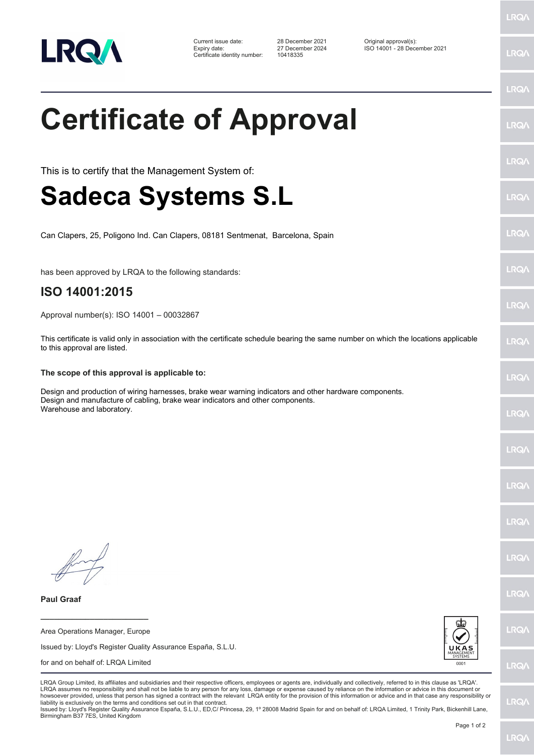

Certificate identity number: 10418335

Current issue date: 28 December 2021 Original approval(s): Expiry date: 27 December 2024 ISO 14001 - 28 December 2021

LRQ/

LRQ/

## LRQ/ **Certificate of Approval** LRQ/ LRQ/ This is to certify that the Management System of: **Sadeca Systems S.L** LRQ/ LRQ/ Can Clapers, 25, Poligono Ind. Can Clapers, 08181 Sentmenat, Barcelona, Spain LRQ/ has been approved by LRQA to the following standards: **ISO 14001:2015 LRQA** Approval number(s): ISO 14001 – 00032867 This certificate is valid only in association with the certificate schedule bearing the same number on which the locations applicable **LRO** to this approval are listed. **The scope of this approval is applicable to:** LRQ/ Design and production of wiring harnesses, brake wear warning indicators and other hardware components. Design and manufacture of cabling, brake wear indicators and other components. Warehouse and laboratory.LRQ/ LRQ/ LRQ/ **IRQ LRO/** LRQ/ **Paul Graaf \_\_\_\_\_\_\_\_\_\_\_\_\_\_\_\_\_\_\_\_\_\_\_\_** LRQ/ Area Operations Manager, Europe Issued by: Lloyd's Register Quality Assurance España, S.L.U. for and on behalf of: LRQA Limited **LRQ/** LRQA Group Limited, its affiliates and subsidiaries and their respective officers, employees or agents are, individually and collectively, referred to in this clause as 'LRQA'. LRQA assumes no responsibility and shall not be liable to any person for any loss, damage or expense caused by reliance on the information or advice in this document or howsoever provided, unless that person has signed a contract with the relevant LRQA entity for the provision of this information or advice and in that case any responsibility or LRQ/ liability is exclusively on the terms and conditions set out in that contract. Issued by: Lloyd's Register Quality Assurance España, S.L.U., ED,C/ Princesa, 29, 1º 28008 Madrid Spain for and on behalf of: LRQA Limited, 1 Trinity Park, Bickenhill Lane, Birmingham B37 7ES, United Kingdom